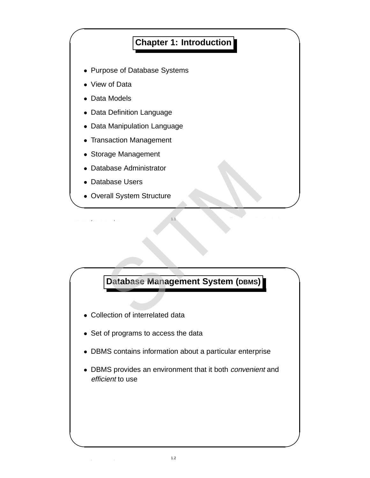### **Chapter 1: Introduction** • Purpose of Database Systems • View of Data • Data Models • Data Definition Language • Data Manipulation Language • Transaction Management • Storage Management • Database Administrator • Database Users • Overall System Structure

Database Systems Concepts 1.1 Silberschatz, Korth and Sudarshan c 1997

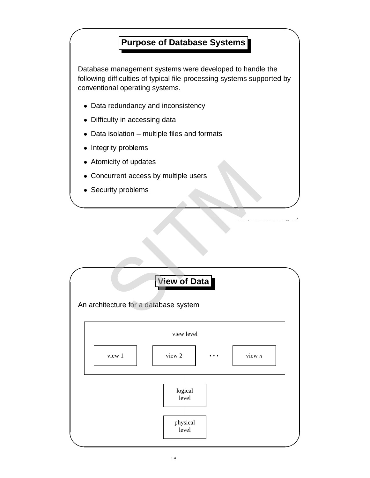## ' **Purpose of Database Systems**

Database management systems were developed to handle the following difficulties of typical file-processing systems supported by conventional operating systems.

- Data redundancy and inconsistency
- Difficulty in accessing data
- Data isolation multiple files and formats
- Integrity problems
- Atomicity of updates
- Concurrent access by multiple users
- Security problems



 $D_{\rm{max}}$  System concepts 1.3  $\mu$  Silberschatz, Korth and Sudarshan  $\mu$  Silberschatz, Korth and Sudarshan  $\mu$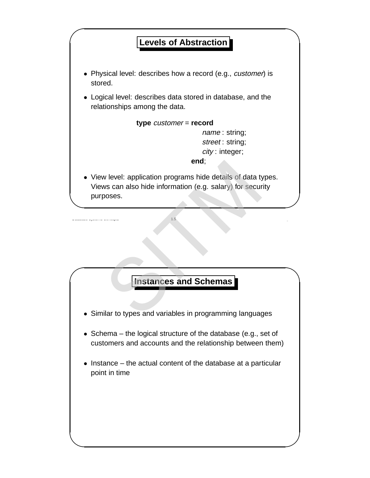

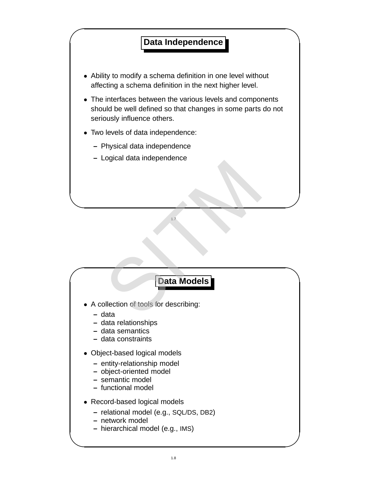# **The Contract Data Independence**

- Ability to modify a schema definition in one level without affecting a schema definition in the next higher level.
- The interfaces between the various levels and components should be well defined so that changes in some parts do not seriously influence others.
- Two levels of data independence:
	- **–** Physical data independence
	- **–** Logical data independence

#### Data Models **Data Models**

 $1.7$  Silberschatz, Korth and Sudarshan  $\mathcal{L}$ 

- A collection of tools for describing: I.
	- **–** data
	- **–** data relationships
	- **–** data semantics
	- **–** data constraints
- Object-based logical models
	- **–** entity-relationship model
	- **–** object-oriented model
	- **–** semantic model
	- **–** functional model
- Record-based logical models
	- **–** relational model (e.g., SQL/DS, DB2)
	- **–** network model
	- **–** hierarchical model (e.g., IMS)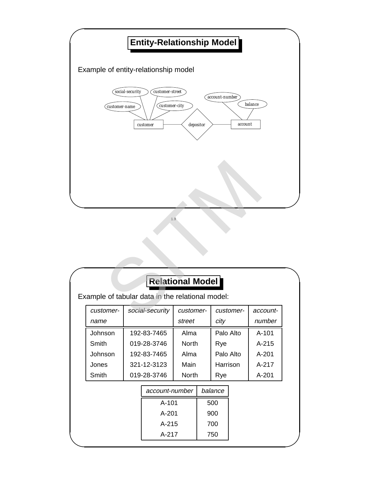

| <b>Relational Model</b>                          |           |  |                 |              |        |           |           |           |
|--------------------------------------------------|-----------|--|-----------------|--------------|--------|-----------|-----------|-----------|
| Example of tabular data in the relational model: |           |  |                 |              |        |           |           |           |
|                                                  | customer- |  | social-security | customer-    |        | customer- |           | account-  |
|                                                  | name      |  |                 |              | street |           |           | number    |
|                                                  | Johnson   |  | 192-83-7465     |              | Alma   |           | Palo Alto | $A - 101$ |
|                                                  | Smith     |  | 019-28-3746     | <b>North</b> |        | Rye       |           | $A - 215$ |
|                                                  | Johnson   |  | 192-83-7465     | Alma         |        | Palo Alto |           | $A - 201$ |
|                                                  | Jones     |  | 321-12-3123     | Main         |        | Harrison  |           | A-217     |
| Smith                                            |           |  | 019-28-3746     | <b>North</b> |        | Rye       |           | A-201     |
|                                                  |           |  | account-number  |              |        | balance   |           |           |
|                                                  |           |  | A-101           |              |        | 500       |           |           |
|                                                  |           |  | $A - 201$       |              |        | 900       |           |           |
|                                                  |           |  | A-215           |              |        | 700       |           |           |
|                                                  |           |  | A-217           |              | 750    |           |           |           |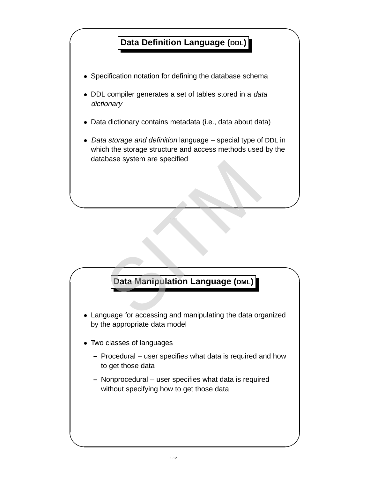

 $\blacksquare$  Systems Concepts 1.11 Silberschatz, Korth and Sudarshan  $\blacksquare$ 

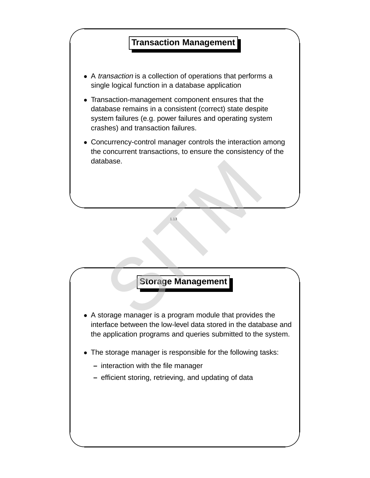

 $\blacksquare$  1.13 Silberschatz, Korth and Sudarshan  $\blacksquare$ 

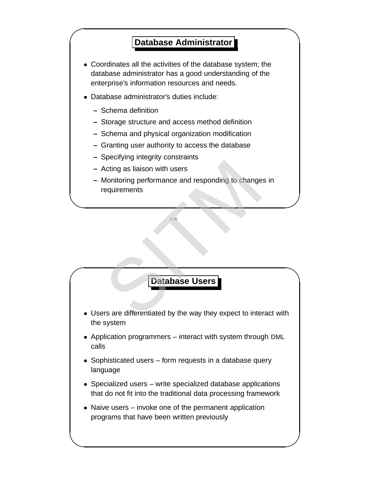# **The Contract Contract Contract Contract Contract Contract Contract Contract Contract Contract Contract Contract Contract Contract Contract Contract Contract Contract Contract Contract Contract Contract Contract Contract C**

- Coordinates all the activities of the database system; the database administrator has a good understanding of the enterprise's information resources and needs.
- Database administrator's duties include:
	- **–** Schema definition
	- **–** Storage structure and access method definition
	- **–** Schema and physical organization modification
	- **–** Granting user authority to access the database
	- **–** Specifying integrity constraints
	- **–** Acting as liaison with users
	- **–** Monitoring performance and responding to changes in requirements Acting as liaison with users<br>
	Monitoring performance and responding to change<br>
	equirements<br>
	Batabase Users<br>
	Figures 4.155<br>
	Supplying the Way they expect to inter-

 $\blacksquare$  1.15 Silberschatz, Korth and Sudarshan  $\blacksquare$ 

**Database Users** 

- Users are differentiated by the way they expect to interact with the system
- Application programmers interact with system through DML calls
- Sophisticated users form requests in a database query language
- Specialized users write specialized database applications that do not fit into the traditional data processing framework
- Naive users invoke one of the permanent application programs that have been written previously